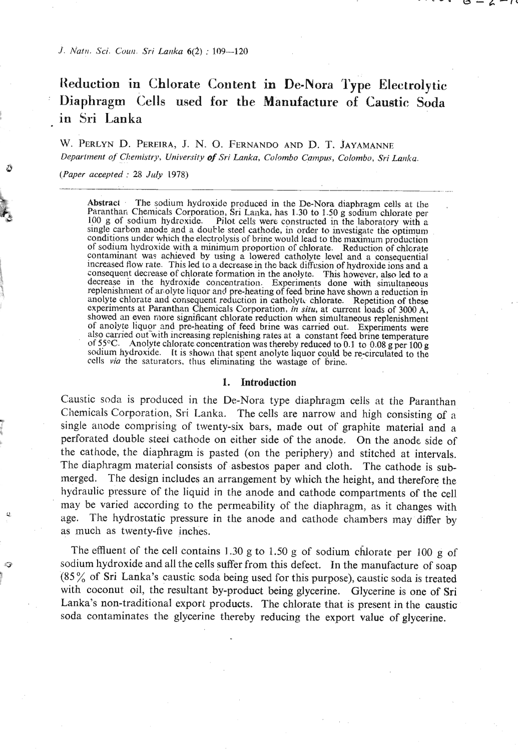/. Natri. *Sci. Color Sri Larlka 6(2)* : *109-120* 

# **Reduction in Chlorate Content in De-Nora Type Electrolytic Diaphragm Cells used for the Manufacture of Caustic Soda in** Sri **Lanka**

W. **PBRLYN** D. **PEREIRA,** J. N. *0.* **FERNANDO AND D. T. JAYAMANNE**  *Department of Chemistry, University of Sri Lanka, Colombo Campus, Colombo, Sri Lanka.* 

*(Paper accepted* : 25 *July* 1978)

Abstract . The sodium hydroxide produced in the De-Nora diaphragm cells at the Paranthar, Chemicals Corporation, Sri Lailka, has **1.30** to **1.50** *g* sodium chlorate per 100 g of sodium hydroxide. Pilot cells were constructed in the laboratory with a single carbon anode and a double steel cathode, in order to investigate the optimum conditions under which the electrolysis of brine would lead to the maximum production of sodium liydroxide with a minimum proportion of chlorate. Reduction of chlorate contaminant was achieved by using a lowered catholyte level and a consequential<br>increased flow rate. This led to a decrease in the back diffusion of hydroxide ions and a<br>consequent decrease of chlorate formation in the ano replenishment of anolyte liquor and pre-heating of feed brine have shown a reduction in anolyte chlorate and consequent reduction in catholytic chlorate. Repetition of these experiments at Paranthan Chemicals Corporation, *in situ,* at current loads of 3000 A, showed an even more significant chlorate reduction when simultaneous replenishment of anolyte liquor and pre-heating of feed brine was carried out. Experiments were<br>also carried out with increasing replenishing rates at a constant feed brine temperature<br>of 55°C. Anolyte chlorate concentration was thereb sodium hydroxide. It is shown that spent anolyte liquor could be re-circulated to the cclls **via** the saturators, thus eliminating the wastage of brinc.

-<br>-<br>-

### **1. Introduction**

Caustic soda is produced in the De-Nora type diaphragm cells at the Paranthan Chemicals Corporation, Sri Lanka. The cells are narrow and high consisting of a single anode comprising of twenty-six bars, made out of graphite material and a perforated double steel cathode on either side of the anode. On the anode side of the cathode, the diaphragm is pasted (on the periphery) and stitched at intervals. The diaphragm material consists of asbestos paper and cloth. The cathode is submerged. The design includes an arrangement by which the height, and therefore the hydraulic pressure of the liquid in the anode and cathode compartments of the cell may be varied according to the permeability of the diaphragm, as it changes with age. The hydrostatic pressure in the anode and cathode chambers may differ by as much as twenty-five inches.

The effluent of the cell contains 1.30 g to 1.50 g of sodium chlorate per 100 g of sodium hydroxide and all the cells suffer from this defect. In the manufacture of soap  $(85\%$  of Sri Lanka's caustic soda being used for this purpose), caustic soda is treated with coconut oil, the resultant by-product being glycerine. Glycerine is one of Sri Lanka's non-traditional export products. The chlorate that is present in the caustic soda contaminates the glycerine thereby reducing the export value of glycerine.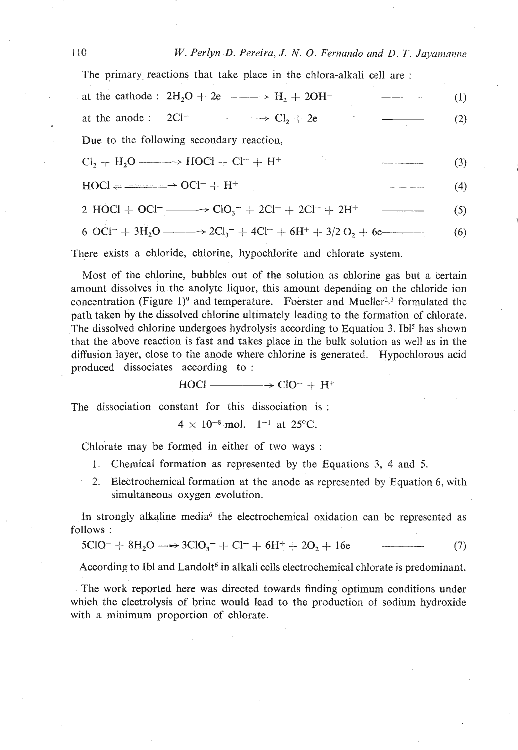The primary reactions that take place in the chlora-alkali cell are:

| at the cathode : $2H_2O + 2e \longrightarrow H_2 + 2OH^-$                                                                                     | (1) |
|-----------------------------------------------------------------------------------------------------------------------------------------------|-----|
| at the anode: $2Cl^ \longrightarrow Cl_2 + 2e$                                                                                                | (2) |
| Due to the following secondary reaction,                                                                                                      |     |
| $Cl_2 + H_2O \longrightarrow HOCl + Cl^- + H^+$                                                                                               | (3) |
| $H OCl \rightleftharpoons \longrightarrow OCl^- + H^+$                                                                                        | (4) |
|                                                                                                                                               | (5) |
| 6 OCl <sup>-</sup> + 3H <sub>2</sub> O --------> 2Cl <sub>3</sub> <sup>-</sup> + 4Cl <sup>-</sup> + 6H <sup>+</sup> + 3/2 O <sub>2</sub> + 6e | (6) |

$$
x_1 \in \mathcal{X}_1 \cup \mathcal{X}_2 \cup \mathcal{X}_3 \cup \mathcal{X}_4 \cup \mathcal{X}_5 \cup \mathcal{X}_6 \cup \mathcal{X}_7 \cup \mathcal{X}_8 \cup \mathcal{X}_9 \cup \mathcal{X}_9 \cup \mathcal{X}_9 \cup \mathcal{X}_9 \cup \mathcal{X}_9 \cup \mathcal{X}_9 \cup \mathcal{X}_9 \cup \mathcal{X}_9 \cup \mathcal{X}_9 \cup \mathcal{X}_9 \cup \mathcal{X}_9 \cup \mathcal{X}_9 \cup \mathcal{X}_9 \cup \mathcal{X}_9 \cup \mathcal{X}_9 \cup \mathcal{X}_9 \cup \mathcal{X}_9 \cup \mathcal{X}_9 \cup \mathcal{X}_9 \cup \mathcal{X}_9 \cup \mathcal{X}_9 \cup \mathcal{X}_9 \cup \mathcal{X}_9 \cup \mathcal{X}_9 \cup \mathcal{X}_9 \cup \mathcal{X}_9 \cup \mathcal{X}_9 \cup \mathcal{X}_9 \cup \mathcal{X}_9 \cup \mathcal{X}_9 \cup \mathcal{X}_9 \cup \mathcal{X}_9 \cup \mathcal{X}_9 \cup \mathcal{X}_9 \cup \mathcal{X}_9 \cup \mathcal{X}_9 \cup \mathcal{X}_9 \cup \mathcal{X}_9 \cup \mathcal{X}_9 \cup \mathcal{X}_9 \cup \mathcal{X}_9 \cup \mathcal{X}_9 \cup \mathcal{X}_9 \cup \mathcal{X}_9 \cup \mathcal{X}_9 \cup \mathcal{X}_9 \cup \mathcal{X}_9 \cup \mathcal{X}_9 \cup \mathcal{X}_9 \cup \mathcal{X}_9 \cup \mathcal{X}_9 \cup \mathcal{X}_9 \cup \mathcal{X}_9 \cup \mathcal{X}_9 \cup \mathcal{X}_9 \cup \mathcal{X}_9 \cup \mathcal{X}_9 \cup \mathcal{X}_9 \cup \mathcal{X}_9 \cup \mathcal{X}_9 \cup \mathcal{X}_9 \cup \mathcal{X}_9 \cup \mathcal{X}_9 \cup \mathcal{X}_9 \cup \mathcal{X}_9 \cup \mathcal{X}_9 \cup \mathcal{X}_9 \cup \mathcal{X}_9 \cup \mathcal{X}_9 \cup \mathcal{X}_9 \cup \mathcal{X}_9 \cup \mathcal{X}_9 \cup \mathcal{X}_9 \cup \mathcal{X}_9 \cup \mathcal{X}_9 \cup \mathcal{X}_9
$$

There exists a chloride, chlorine, hypochlorite and chlorate system.

Most of the chlorine, bubbles out of the solution as chlorine gas but a certain amount dissolves in the anolyte liquor, this amount depending on the chloride ion concentration (Figure 1)<sup>9</sup> and temperature. Foerster and Mueller<sup>2,3</sup> formulated the path taken by the dissolved chlorine ultimately leading to the formation of chlorate. The dissolved chlorine undergoes hydrolysis according to Equation 3. Ibl<sup>5</sup> has shown that the above reaction is fast and takes place in the bulk solution as well as in the diffusion layer, close to the anode where chlorine is generated. Hypochlorous acid produced dissociates according to:

 $HOCl \longrightarrow ClO^- + H^+$ 

The dissociation constant for this dissociation is:

 $4 \times 10^{-8}$  mol.  $1^{-1}$  at 25°C.

Chlorate may be formed in either of two ways:

- $1.$ Chemical formation as represented by the Equations 3, 4 and 5.
- 2. Electrochemical formation at the anode as represented by Equation 6, with simultaneous oxygen evolution.

In strongly alkaline media<sup>6</sup> the electrochemical oxidation can be represented as follows:

$$
5ClO^{-} + 8H_2O \longrightarrow 3ClO_3^- + Cl^{-} + 6H^{+} + 2O_2 + 16e \qquad (7)
$$

According to Ibl and Landolt<sup>6</sup> in alkali cells electrochemical chlorate is predominant.

The work reported here was directed towards finding optimum conditions under which the electrolysis of brine would lead to the production of sodium hydroxide with a minimum proportion of chlorate.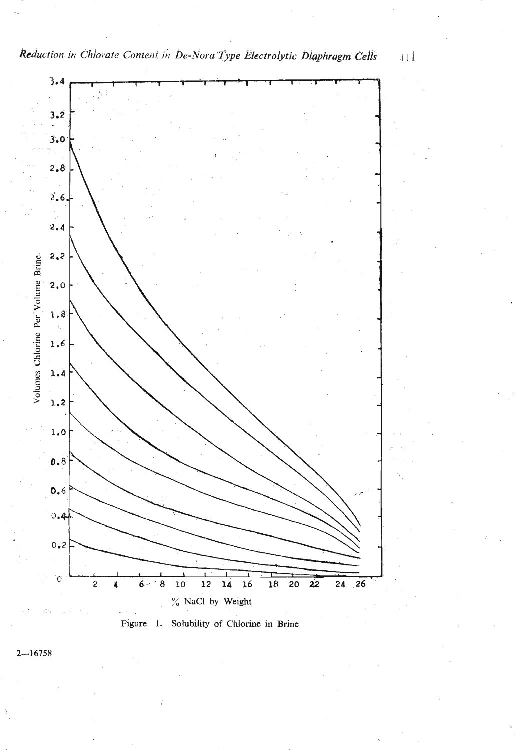





 $11\,\mathrm{l}$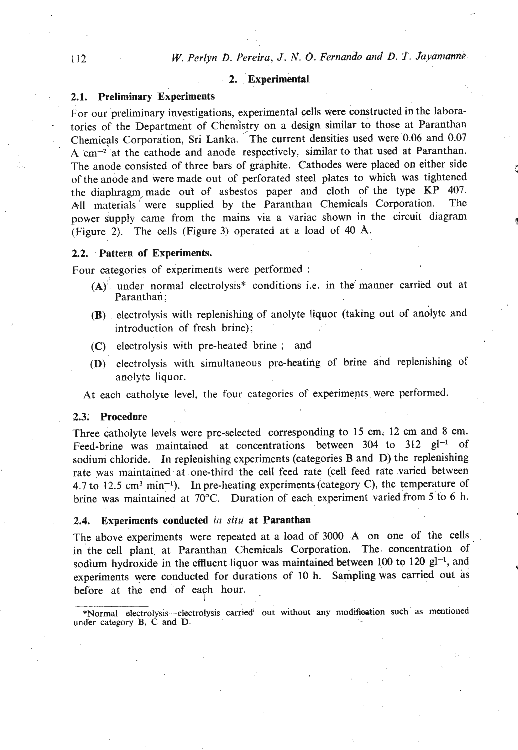# 2. Experimental

# 2.1. Preliminary Experiments

For our preliminary investigations, experimental cells were constructed in the labora tories of the Department of Chemistry on a design similar to those at Paranthan Chemicals Corporation, Sri Lanka. The current densities used were **0.06** and **0.07 A** cm-2 at the cathode and anode respectively, similar to that used at Paranthan. The anode consisted of three bars of graphite. Cathodes were placed on either side of the anode and were made out of perforated steel plates to which was tightened the diaphragm made out of asbestos paper and cloth of the type KP **407.**  All materials were supplied by the Paranthan Chemicals Corporation. The power supply came from the mains via a variac shown in the circuit diagram (Figure 2). The cells (Figure 3) operated at a load of **40** A.

# 2.2. Pattern of Experiments.

Four categories of experiments were performed :

- $(A)$  under normal electrolysis<sup>\*</sup> conditions i.e. in the manner carried out at Paranthan;
- (R) electrolysis with replenishing of anolyte liquor (taking out of andlyte and introduction of fresh brine);
- (C) electrolysis with pre-heated brine ; and
- **(D)** electrolysis with simultaneous pre-heating of brine and replenishing of anolyte liquor.

At each catholyte level, the four categories of experiments. were performed.

### 2.3. Procedure

Three catholyte levels were pre-selected corresponding to 15 cm; 12 cm and 8 cm. Feed-brine was maintained at concentrations between 304 to 312 gl<sup>-1</sup> of sodium chloride. In replenishing experiments (categories B and D) the replenishing rate was maintained at one-third the cell feed rate (cell feed rate varied between 4.7 to 12.5 cm<sup>3</sup> min<sup>-1</sup>). In pre-heating experiments (category C), the temperature of brine was maintained at 70°C. Duration of each experiment varied from 5 to 6 h.

### 2.4. Experiments conducted *in situ* at Paranthan

I

The above experiments were repeated at a load of 3000 A on one of the cells in the cell plant, at Paranthan Chemicals Corporation. The concentration of sodium hydroxide in the effluent liquor was maintained between 100 to 120 **gl-',** and experiments were conducted for durations of **10** h. Sampling **was** carried out as before at the end of each hour.

<sup>\*</sup>Normal electrolysis-electrolysis carried<sup>'</sup> out without any modification such as mentioned **und'er category B, C and D.**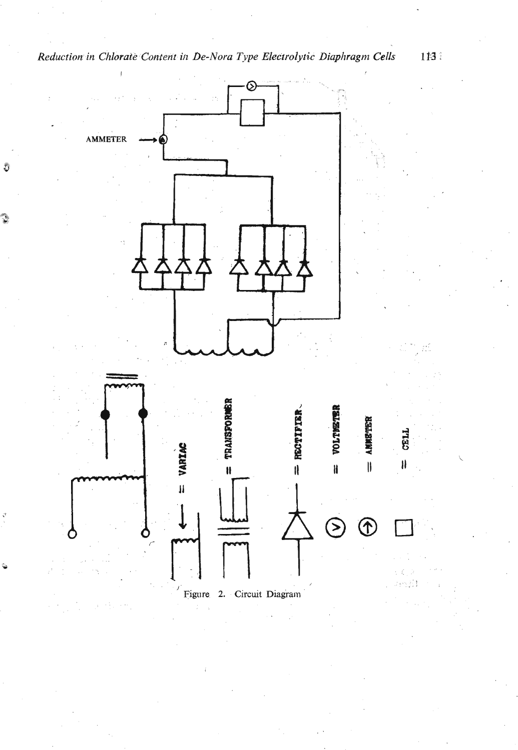

Reduction in Chlorate Content in De-Nora Type Electrolytic Diaphragm Cells

Ō

113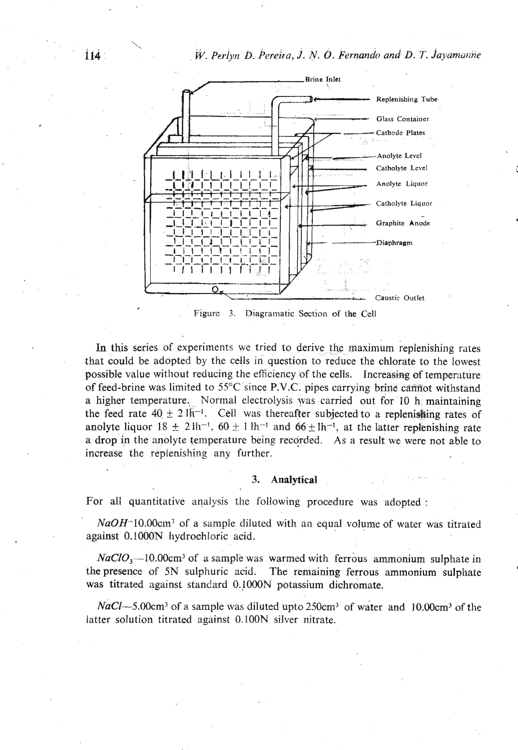$W$ . Perlyn D. Pereira, J. N. O. Fernando and D. T. Jayamanne



Diagramatic Section of the Cell Figure 3.

In this series of experiments we tried to derive the maximum replenishing rates that could be adopted by the cells in question to reduce the chlorate to the lowest possible value without reducing the efficiency of the cells. Increasing of temperature of feed-brine was limited to 55°C since P.V.C. pipes carrying brine cannot withstand a higher temperature. Normal electrolysis was carried out for 10 h maintaining the feed rate  $40 \pm 21\text{h}^{-1}$ . Cell was thereafter subjected to a replenishing rates of anolyte liquor  $18 \pm 2 \ln^{-1}$ ,  $60 \pm 1 \ln^{-1}$  and  $66 \pm \ln^{-1}$ , at the latter replenishing rate a drop in the anolyte temperature being recorded. As a result we were not able to increase the replenishing any further.

#### Analytical 3.

For all quantitative analysis the following procedure was adopted :

 $NaOH^-10.00cm^3$  of a sample diluted with an equal volume of water was titrated against 0.1000N hydrochloric acid.

 $NaClO<sub>3</sub>$ —10.00cm<sup>3</sup> of a sample was warmed with ferrous ammonium sulphate in the presence of 5N sulphuric acid. The remaining ferrous ammonium sulphate was titrated against standard 0.1000N potassium dichromate.

 $NaCl$ —5.00cm<sup>3</sup> of a sample was diluted upto 250cm<sup>3</sup> of water and 10.00cm<sup>3</sup> of the latter solution titrated against 0.100N silver nitrate.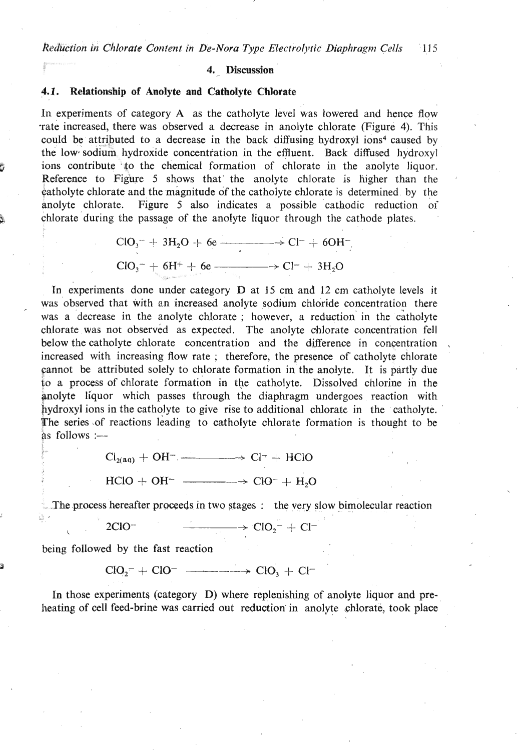### 4. Discussion

# **4.1.** Relationship **of** Anolyte and Catholyte Chlorate

In experiments of category A as the catholyte level was lowered and hence flow -rate increased, there was observed a decrease in anolyte chlorate (Figure 4). This could be attributed to a decrease in the back diffusing hydroxyl ions4 caused by the low sodium hydroxide concentration in the effluent. Back diffused hydroxyl ions contribute to the chemical formation of chlorate in the anolyte liquor. Reference to Figure 5 shows that the anolyte chlorate is higher than the catholyte chlorate and the magnitude of the catholyte chlorate is determined by the anolyte chlorate. Figure 5 also indicates a possible cathodic reduction oi **9** chlorate during the passage of the anolyte liquor through the cathode plates. CI0,- -I- 3H,O -; 6e - -+ C1- + 60H-

$$
ClO3- + 3H2O + 6e
$$
  

$$
ClO3- + 6H+ + 6e
$$
  

$$
ClO3- + 3H2O
$$

In experiments done under category D at 15 cm and 12 cm catholyte levels it was observed that with an increased anolyte sodium chloride concentration there was a decrease in the anolyte chlorate ; however, a reduction in the catholyte chlorate was not observed as expected. The anolyte chlorate concentration fell below the catholyte chlorate concentration and the difference in concentration increased with increasing flow rate : therefore, the presence of catholyte chlorate cannot be attributed solely to chlorate formation in the anolyte. It is partly due to a process of chlorate formation in the catholyte. Dissolved chlorine in the anolyte liquor which passes through the diaphragm undergoes reaction with hydroxyl ions in the catholyte to give rise to additional chlorate in the catholyte. The series of reactions leading to catholyte chlorate formation is thought to be as follows  $:=$ 

 $Cl_{2(aq)} + OH^-$  -  $\longrightarrow Cl^+ + HClO$ 

 $HClO + OH^ \longrightarrow$   $ClO^- + H<sub>2</sub>O$ 

- **.The** process hereafter proceeds in two stages : the very slow bimolecular reaction

. -

$$
\qquad \qquad 2ClO^{-} \qquad \qquad \longrightarrow ClO_{2}^{-} + Cl^{-}
$$

being followed by the fast reaction

**<sup>3</sup>**Cl0,- + C10- ---- + C10, + C1-

In those experiments (category D) where replenishing of anolyte liquor and preheating of cell feed-brine was carried out reduction in anolyte chlorate, took place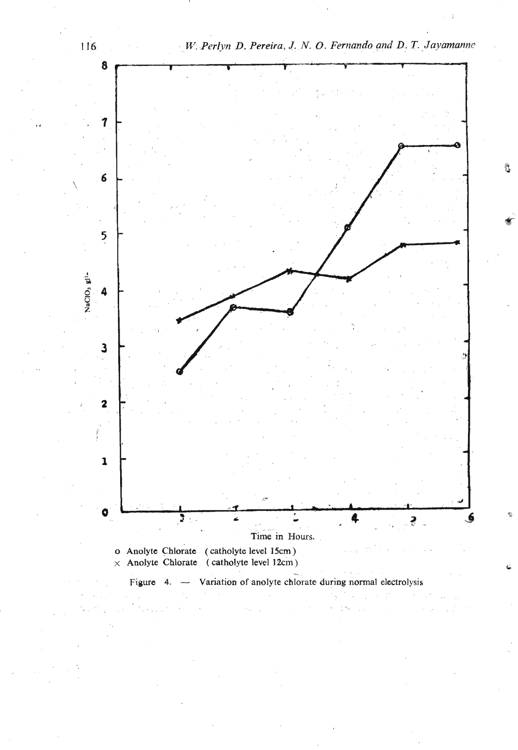

Ĵ.

service and the service of the service of the service of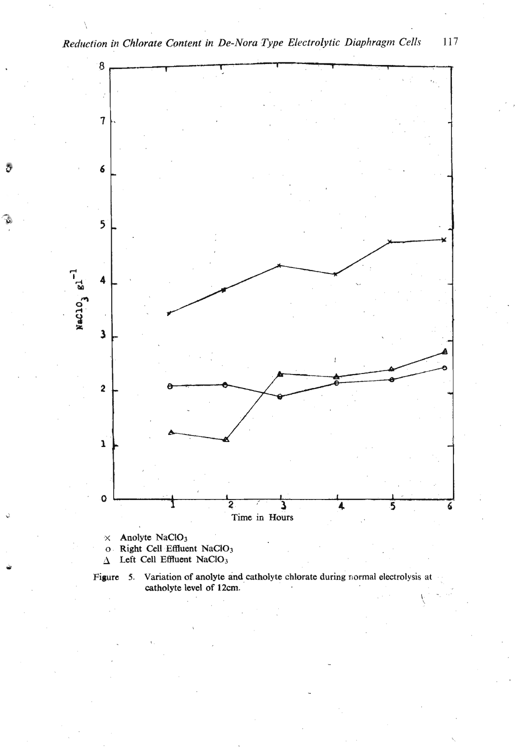

Right Cell Effluent NaClO<sub>3</sub>  $\mathbf{o}$ .

Left Cell Effluent NaClO<sub>3</sub>  $\Delta^+$ 



117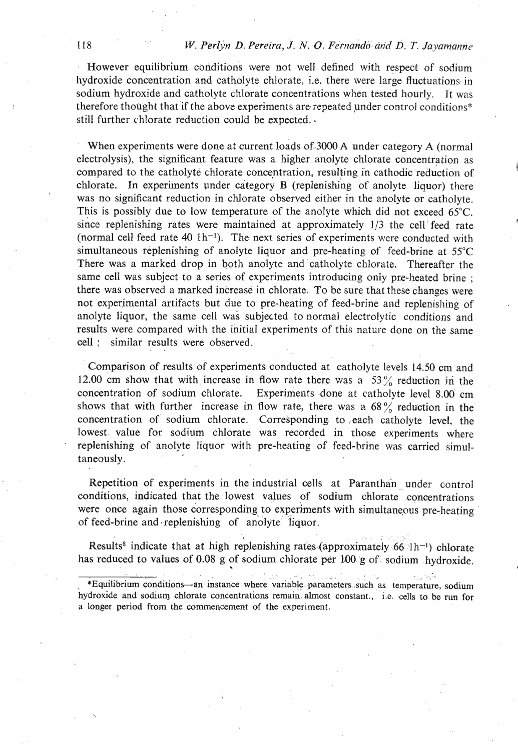However equilibrium conditions were not well defined with respect of sodium hydroxide concentration and catholyte chlorate, i.e. there were large fluctuations in sodium hydroxide and catholyte chlorate concentrations when tested hourly. It was therefore thought that if the above experiments are repeated under control conditions<sup>\*</sup> still further chlorate reduction could be expected..

When experiments were done at current loads of,3000 **A** under category **A** (normal electrolysis), the significant feature was a higher anolyte chlorate concentration as compared to the catholyte chlorate concentration, resulting in cathodic reduction of chlorate. In experiments under category B (replenishing of anolyte liquor) there was no significant reduction in chlorate observed either in the anolyte or catholyte. This is possibly due to low temperature of the anolyte which did not exceed 65°C. since replenishing rates were maintained at approximately **113** the cell feed rate (normal cell feed rate  $40 \text{ lb}^{-1}$ ). The next series of experiments were conducted with simultaneous replenishing of anolyte liquor and pre-heating of feed-brine at 55°C There was a marked drop in both anolyte and catholyte chlorate. Thereafter the same cell was subject to a series of experiments introducing only pre-heated brine ; there was observed a marked increase in chlorate. To be sure that these changes were not experimental artifacts but due to pre-heating of feed-brine and replenishing of anolyte liquor, the same cell wa's subjected to normal electrolytic conditions and results were compared with the initial experiments of this nature done on the same cell ; similar results were observed.

Comparison of results of experiments conducted at catholyte levels 14.50 cm and 12.00 cm show that with increase in flow rate there was a  $53\%$  reduction in the concentration of sodium chlorate. Experiments done at catholyte level  $8.00 \text{ cm}$ shows that with further increase in flow rate, there was a  $68\%$  reduction in the concentration of sodium chlorate. Corresponding to ,each catholyte level, the lowest value for sodium chlorate was recorded in those experiments where replenishing of anolyte liquor with pre-heating of feed-brine was carried simultaneously.

Repetition of experiments in the industrial cells at Paranthan under control conditions, indicated that the lowest values of sodium chlorate concentrations were once again those corresponding to experiments with simultaneous pre-heating of feed-brine and replenishing of anolyte liquor.

........ **I** .. :... :"'. ... : Results<sup>8</sup> indicate that at high replenishing rates (approximately 66 <sup>1</sup>h<sup>-1</sup>) chlorate has reduced to values of 0.08 g of sodium chlorate per 100 g of sodium .hydroxide.

<sup>\*</sup>Equilibrium conditions-an instance where variable parameters such as temperature, sodium **hydroxide and sodium chlorate concentrations remain. almost constant.,** i.e. **,cells to be run for a longer period from the commencement of the experiment.**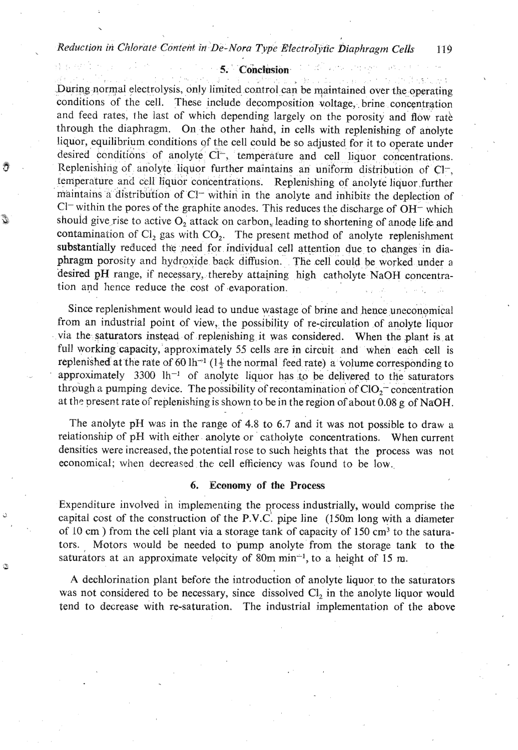*Reduction in Chrorate Cmtenf in De-Nora* **Type** *Efectrolytic Diaphragm Cells* **119** 

# **5.** Conclusion

During normal electrolysis, only limited control can be maintained over the operating conditions of the cell. These include decomposition voltage, brine concentration and feed rates, the last of which depending largely on the porosity and flow rate through the diaphragm. On the other hand, in cells with replenishing of anolyte liquor, equilibrium conditions of the cell could be so adjusted for it to operate under desired conditions of anolyte  $Cl^-,$  temperature and cell liquor concentrations. *8* Replenishing of anoIyte liquor further maintains an uniform distribution of **Cl-,**  temperature and cell liquor concentrations. Replenishing of anolyte liquor,further maintains a distribution of  $Cl^-$  within in the anolyte and inhibits the deplection of **C1-** within the pores of the graphite anodes. This reduces the discharge of OH- which should give rise to active O<sub>2</sub> attack on carbon, leading to shortening of anode life and contamination of  $Cl_2$  gas with  $CO_2$ . The present method of anolyte replenishment substantially reduced the need for individual cell atkention due to changes **in** diaphragm porosity and hydroxide back diffusion. The cell could be worked under a desired pH range, if necessary, thereby attaining high catholyte NaOH concentration and hence reduce the cost of evaporation.

Since replenishment would lead to undue wastage of brine and hence uneconomical from an industrial point of view, the possibility of re-circulation of anolyte liquor via the saturators instead of replenishing it was considered. When the plant is at full working capacity, approximately 55 cells are in circuit and when each cell is replenished at the rate of 60 lh<sup> $-1$ </sup> (1<sup>1</sup>/<sub>2</sub> the normal feed rate) a volume corresponding to approximately 3300  $lh^{-1}$  of anolyte liquor has to be delivered to the saturators through a pumping device. The possibility of recontamination of  $ClO<sub>2</sub>$  concentration at the present rate of replenishing is shown to be in the region of about 0.08 g of NaOH.

The anolyte pH was in the range of 4.8 to 6.7 and it was not possible to draw a relationship of pH with either anolyte or catholyte concentrations. When current densities were increased, the potential rose to such heights that the process was not economical; when decreased the cell efficiency was found to be low.

### **6. Economy of the Process**

Expenditure involved in implementing the qrocess industrially, would comprise the capital cost of the construction of the P.V.C. pipe line  $(150m \text{ long with a diameter})$ of 10 cm ) from the cell plant via a storage tank of capacity of 150 cm<sup>3</sup> to the saturators. Motors would be needed to pump anolyte from the storage tank to the saturators at an approximate velpcity of 80m min-l, to **a** height of 15 m.

**A** dechlorination plant before the introduction of anolyte liquor to the saturators was not considered to be necessary, since dissolved Cl<sub>2</sub> in the anolyte liquor would tend to decrease with re-saturation. The industrial implementation of the above

 $\tilde{\phi}$